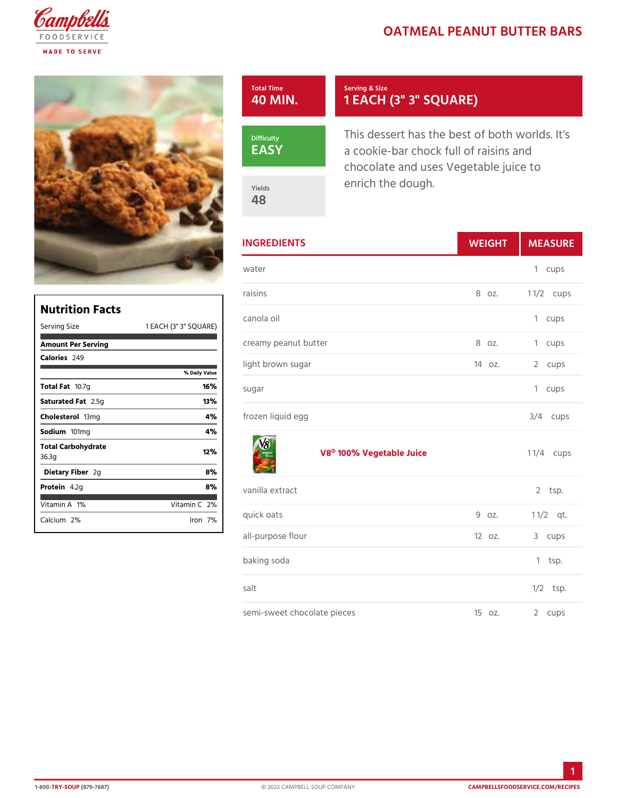## OATMEAL PEANUT BUTT

| Total Time<br>40 MIN. | Serving & Size<br>1 EACH (3" 3" SQUARE)                                                                |
|-----------------------|--------------------------------------------------------------------------------------------------------|
| Difficulty<br>EASY    | This dessert has the best of bo<br>a cookie-bar chock full of raisir<br>chocolate and uses Vegetable j |
| Yields<br>48          | enrich the dough.                                                                                      |

| <b>INGREDIENTS</b>                 | W E I G H | MEASU           |
|------------------------------------|-----------|-----------------|
| water                              |           | 1 cups          |
| raisins                            |           | 8 oz. 1 1/2 ups |
| canola oil<br>SQUARE)              |           | 1 cups          |
| creamy peanut butter               | 8 oz.     | 1 cups          |
| light brown sugar                  | 140z.     | 2 cups          |
| sugar                              |           | 1 cups          |
| frozen liquid egg                  |           | $3/4$ cups      |
| V8® 100% Vegetable Juice 1 1/4cups |           |                 |
| vanilla extract                    |           | $2$ tsp.        |
| quick oats                         | 9 oz.     | $1 \t1/2qt.$    |
| all-purpose flour                  | 120z.     | 3 cups          |
| baking soda                        |           | $1$ tsp.        |
| salt                               |           | $1/2$ tsp.      |
| semi-sweet chocolate pieces        | 15 oz.    | 2 cups          |

| Nutrition Facts                    | cano                |
|------------------------------------|---------------------|
| 1 EACH (3" 3"<br>Serving Size      | SQUARE)             |
| Amount Per Serving                 | creal               |
| Calorie2s49                        | light               |
| % Daily Vallue                     |                     |
| Total Fa0.7g<br>16%                | suga                |
| 13%<br>Saturated 2F.55 to          |                     |
| 4 %<br>Choleste folm g             | $f \r o z \epsilon$ |
| 4 %<br>Sodium 01mg                 |                     |
| Total Carbohydrate<br>12%<br>36.3g |                     |
| 8%<br>Dietary F2ger                |                     |
| 8%<br>Protei4.2g                   | vanil               |
| Vitamin1A6<br>Vitamin2 <b>%</b>    |                     |
| Calciu2m%<br>$l$ ron $7%$          | quicl               |
|                                    |                     |

1